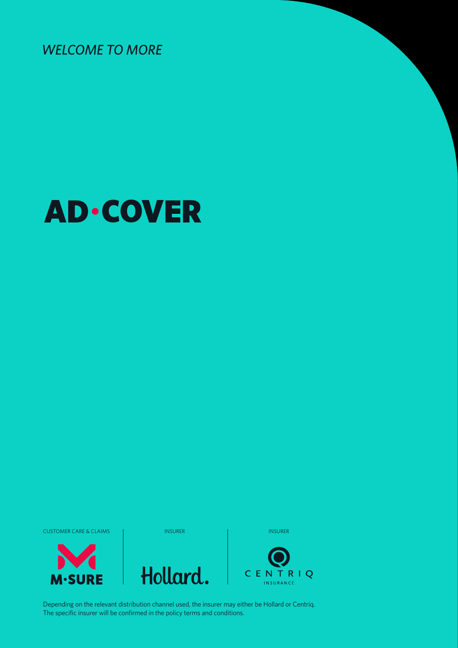**WELCOME TO MORE** 

# **AD·COVER**

CUSTOMER CARE & CLAIMS INSURER INSURER INSURER INSURER INSURER









Depending on the relevant distribution channel used, the insurer may either be Hollard or Centriq. The specific insurer will be confirmed in the policy terms and conditions.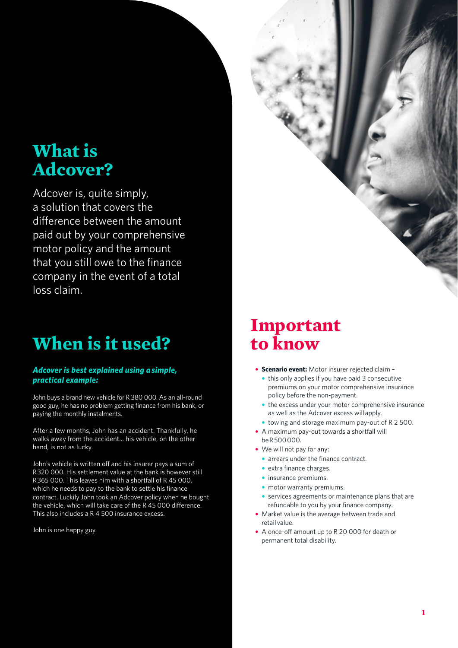## **What is Adcover?**

Adcover is, quite simply, a solution that covers the difference between the amount paid out by your comprehensive motor policy and the amount that you still owe to the finance company in the event of a total loss claim.

# **When is it used?**

#### *Adcover is best explained using a simple, practical example:*

John buys a brand new vehicle for R 380 000. As an all-round good guy, he has no problem getting finance from his bank, or paying the monthly instalments.

After a few months, John has an accident. Thankfully, he walks away from the accident... his vehicle, on the other hand, is not as lucky.

John's vehicle is written off and his insurer pays a sum of R 320 000. His settlement value at the bank is however still R 365 000. This leaves him with a shortfall of R 45 000, which he needs to pay to the bank to settle his finance contract. Luckily John took an Adcover policy when he bought the vehicle, which will take care of the R 45 000 difference. This also includes a R 4 500 insurance excess.

John is one happy guy.

# **Important to know**

- **• Scenario event:** Motor insurer rejected claim
	- **•** this only applies if you have paid 3 consecutive premiums on your motor comprehensive insurance policy before the non-payment.
	- **•** the excess under your motor comprehensive insurance as well as the Adcover excess will apply.
	- **•** towing and storage maximum pay-out of R 2 500.
- **•** A maximum pay-out towards a shortfall will be R 500 000.
- **•** We will not pay for any:
	- **•** arrears under the finance contract.
	- **•** extra finance charges.
	- **•** insurance premiums.
	- **•** motor warranty premiums.
	- **•** services agreements or maintenance plans that are refundable to you by your finance company.
- **•** Market value is the average between trade and retail value.
- **•** A once-off amount up to R 20 000 for death or permanent total disability.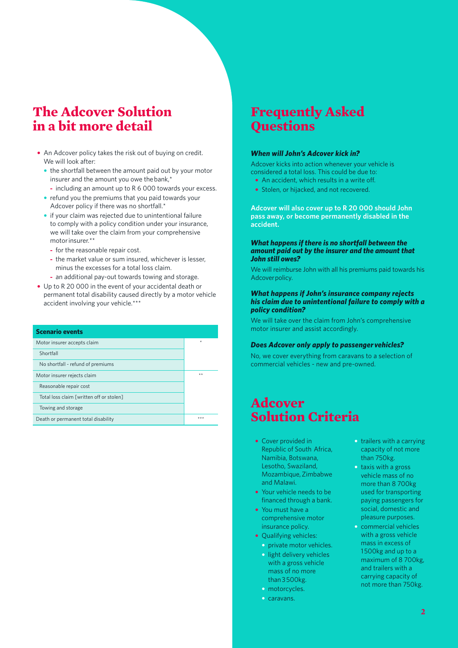### **The Adcover Solution in a bit more detail**

- **•** An Adcover policy takes the risk out of buying on credit. We will look after:
	- **•** the shortfall between the amount paid out by your motor insurer and the amount you owe the bank,\*
		- **-** including an amount up to R 6 000 towards your excess.
	- **•** refund you the premiums that you paid towards your Adcover policy if there was no shortfall.\*
	- **•** if your claim was rejected due to unintentional failure to comply with a policy condition under your insurance, we will take over the claim from your comprehensive motor insurer.\*\*
		- **-** for the reasonable repair cost.
		- **-** the market value or sum insured, whichever is lesser, minus the excesses for a total loss claim.
		- **-** an additional pay-out towards towing and storage.
- **•** Up to R 20 000 in the event of your accidental death or permanent total disability caused directly by a motor vehicle accident involving your vehicle.\*\*\*

| <b>Scenario events</b>                   |         |
|------------------------------------------|---------|
| Motor insurer accepts claim              | $\star$ |
| Shortfall                                |         |
| No shortfall - refund of premiums        |         |
| Motor insurer rejects claim              | $***$   |
| Reasonable repair cost                   |         |
| Total loss claim [written off or stolen] |         |
| Towing and storage                       |         |
| Death or permanent total disability      | $***$   |

# **Questions**

#### *When will John's Adcover kick in?*

Adcover kicks into action whenever your vehicle is considered a total loss. This could be due to:

- **•** An accident, which results in a write off.
- **•** Stolen, or hijacked, and not recovered.

**Adcover will also cover up to R 20 000 should John pass away, or become permanently disabled in the accident.**

#### *What happens if there is no shortfall between the amount paid out by the insurer and the amount that John still owes?*

We will reimburse John with all his premiums paid towards his Adcover policy.

#### *What happens if John's insurance company rejects his claim due to unintentional failure to comply with a policy condition?*

We will take over the claim from John's comprehensive motor insurer and assist accordingly.

#### *Does Adcover only apply to passenger vehicles?*

No, we cover everything from caravans to a selection of commercial vehicles - new and pre-owned.

### **Adcover Solution Criteria**

- **•** Cover provided in Republic of South Africa, Namibia, Botswana, Lesotho, Swaziland, Mozambique, Zimbabwe and Malawi.
- **•** Your vehicle needs to be financed through a bank.
- **•** You must have a comprehensive motor insurance policy.
- **•** Qualifying vehicles:
	- **•** private motor vehicles.
	- **•** light delivery vehicles with a gross vehicle mass of no more than 3 500kg.
	- **•** motorcycles.
	- **•** caravans.
- **•** trailers with a carrying capacity of not more than 750kg.
- **•** taxis with a gross vehicle mass of no more than 8 700kg used for transporting paying passengers for social, domestic and pleasure purposes.
- **Frequently Asked**<br> **Questions**<br> **When will John's Adcover kick in?**<br>
Adcover kicks into action whenever your vehicle is<br>
considered a total loss. This could be due to:<br>
 Shacedott, which results in a write off.<br>
 Shaced **•** commercial vehicles with a gross vehicle mass in excess of 1500kg and up to a maximum of 8 700kg, and trailers with a carrying capacity of not more than 750kg.